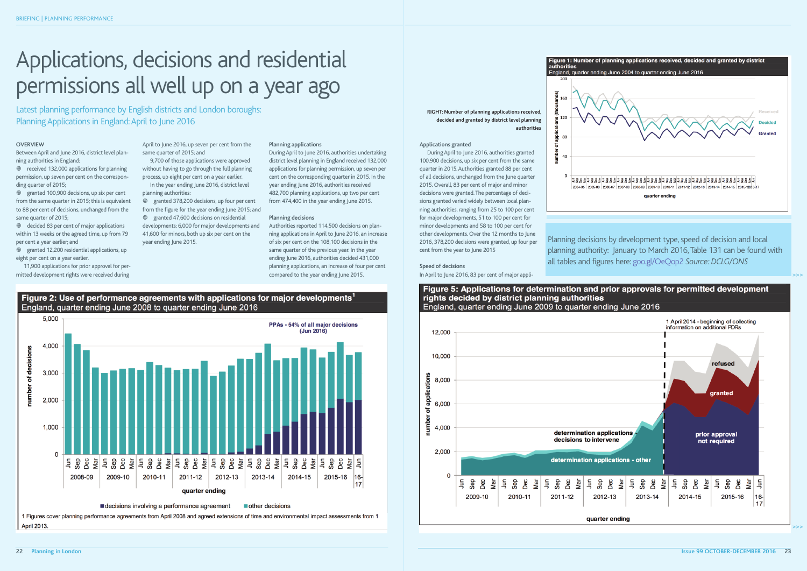#### **Applications granted**

DuringApril to June 2016, authorities granted 100,900 decisions, up six per cent from the same quarter in 2015.Authorities granted 88 per cent of all decisions, unchanged from the June quarter 2015. Overall, 83 per cent of major and minor decisions were granted.The percentage of decisions granted varied widely between local planning authorities, ranging from 25 to 100 per cent for major developments, 51 to 100 per cent for minor developments and 58 to 100 per cent for other developments. Over the 12 months to June 2016, 378,200 decisions were granted, up four per cent from the year to June 2015



Planning decisions by development type, speed of decision and local planning authority: January to March 2016,Table 131 can be found with all tables and figures here: goo.gl/OeQop2 Source: DCLG/ONS

Between April and June 2016, district level planning authorities in England:

<sup>©</sup> decided 83 per cent of major applications within 13 weeks or the agreed time, up from 79 per cent a year earlier; and

#### **Speed of decisions** InApril to June 2016, 83 per cent of major appli-



>>>

#### **OVERVIEW**

• granted 378,200 decisions, up four per cent from the figure for the year ending June 2015; and • granted 47,600 decisions on residential developments: 6,000 for major developments and 41,600 for minors, both up six per cent on the year ending June 2015.

• received 132,000 applications for planning permission, up seven per cent on the corresponding quarter of 2015;

• granted 100,900 decisions, up six per cent from the same quarter in 2015; this is equivalent to 88 per cent of decisions, unchanged from the same quarter of 2015;

• granted 12,200 residential applications, up eight per cent on a year earlier.

11,900 applications for prior approval for permitted development rights were received during

April to June 2016, up seven per cent from the same quarter of 2015; and

Latest planning performance by English districts and London boroughs: Planning Applications in England: April to June 2016

> 9,700 of those applications were approved without having to go through the full planning process, up eight per cent on a year earlier.

In the year ending June 2016, district level planning authorities:

#### **Planning applications**

DuringApril to June 2016, authorities undertaking district level planning in England received 132,000 applications for planning permission, up seven per cent on the corresponding quarter in 2015. In the year ending June 2016, authorities received 482,700 planning applications, up two per cent from 474,400 in the year ending June 2015.

#### **Planning decisions**

Authorities reported 114,500 decisions on planning applications inApril to June 2016, an increase of six per cent on the 108,100 decisions in the same quarter of the previous year. In the year ending June 2016, authorities decided 431,000 planning applications, an increase of four per cent compared to the year ending June 2015.





1 Figures cover planning performance agreements from April 2008 and agreed extensions of time and environmental impact assessments from 1 April 2013.

# Applications, decisions and residential permissions all well up on a year ago